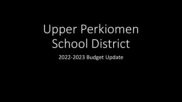# Upper Perkiomen School District

2022-2023 Budget Update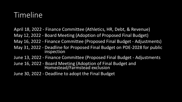# Timeline

- April 18, 2022 Finance Committee (Athletics, HR, Debt, & Revenue)
- May 12, 2022 Board Meeting (Adoption of Proposed Final Budget)
- May 16, 2022 Finance Committee (Proposed Final Budget Adjustments)
- May 31, 2022 Deadline for Proposed Final Budget on PDE-2028 for public inspection
- June 13, 2022 Finance Committee (Proposed Final Budget Adjustments
- June 16, 2022 Board Meeting (Adoption of Final Budget and Homestead/Farmstead exclusion
- June 30, 2022 Deadline to adopt the Final Budget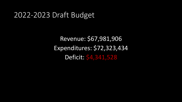#### 2022-2023 Draft Budget

Revenue: \$67,981,906 Expenditures: \$72,323,434 Deficit: \$4,341,528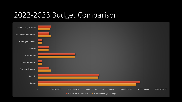#### 2022-2023 Budget Comparison

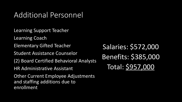## Additional Personnel

Learning Support Teacher Learning Coach Elementary Gifted Teacher Student Assistance Counselor (2) Board Certified Behavioral Analysts HR Administrative Assistant Other Current Employee Adjustments and staffing additions due to

enrollment

Salaries: \$572,000 Benefits: \$385,000 Total: \$957,000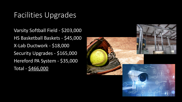## Facilities Upgrades

Varsity Softball Field - \$203,000 HS Basketball Baskets - \$45,000 X-Lab Ductwork - \$18,000 Security Upgrades - \$165,000 Hereford PA System - \$35,000 Total - \$466,000

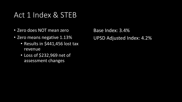# Act 1 Index & STEB

- Zero does NOT mean zero
- Zero means negative 1.13%
	- Results in \$441,456 lost tax revenue
	- Loss of \$232,969 net of assessment changes

Base Index: 3.4% UPSD Adjusted Index: 4.2%